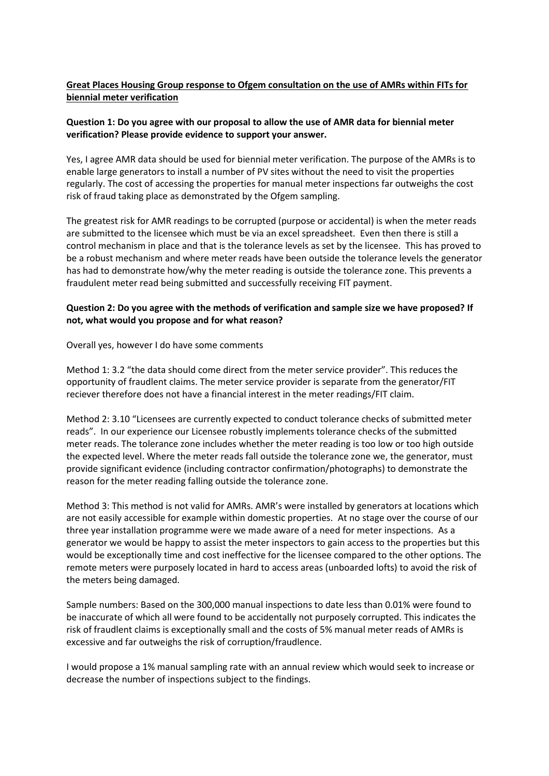# **Great Places Housing Group response to Ofgem consultation on the use of AMRs within FITs for biennial meter verification**

### **Question 1: Do you agree with our proposal to allow the use of AMR data for biennial meter verification? Please provide evidence to support your answer.**

Yes, I agree AMR data should be used for biennial meter verification. The purpose of the AMRs is to enable large generators to install a number of PV sites without the need to visit the properties regularly. The cost of accessing the properties for manual meter inspections far outweighs the cost risk of fraud taking place as demonstrated by the Ofgem sampling.

The greatest risk for AMR readings to be corrupted (purpose or accidental) is when the meter reads are submitted to the licensee which must be via an excel spreadsheet. Even then there is still a control mechanism in place and that is the tolerance levels as set by the licensee. This has proved to be a robust mechanism and where meter reads have been outside the tolerance levels the generator has had to demonstrate how/why the meter reading is outside the tolerance zone. This prevents a fraudulent meter read being submitted and successfully receiving FIT payment.

### **Question 2: Do you agree with the methods of verification and sample size we have proposed? If not, what would you propose and for what reason?**

Overall yes, however I do have some comments

Method 1: 3.2 "the data should come direct from the meter service provider". This reduces the opportunity of fraudlent claims. The meter service provider is separate from the generator/FIT reciever therefore does not have a financial interest in the meter readings/FIT claim.

Method 2: 3.10 "Licensees are currently expected to conduct tolerance checks of submitted meter reads". In our experience our Licensee robustly implements tolerance checks of the submitted meter reads. The tolerance zone includes whether the meter reading is too low or too high outside the expected level. Where the meter reads fall outside the tolerance zone we, the generator, must provide significant evidence (including contractor confirmation/photographs) to demonstrate the reason for the meter reading falling outside the tolerance zone.

Method 3: This method is not valid for AMRs. AMR's were installed by generators at locations which are not easily accessible for example within domestic properties. At no stage over the course of our three year installation programme were we made aware of a need for meter inspections. As a generator we would be happy to assist the meter inspectors to gain access to the properties but this would be exceptionally time and cost ineffective for the licensee compared to the other options. The remote meters were purposely located in hard to access areas (unboarded lofts) to avoid the risk of the meters being damaged.

Sample numbers: Based on the 300,000 manual inspections to date less than 0.01% were found to be inaccurate of which all were found to be accidentally not purposely corrupted. This indicates the risk of fraudlent claims is exceptionally small and the costs of 5% manual meter reads of AMRs is excessive and far outweighs the risk of corruption/fraudlence.

I would propose a 1% manual sampling rate with an annual review which would seek to increase or decrease the number of inspections subject to the findings.